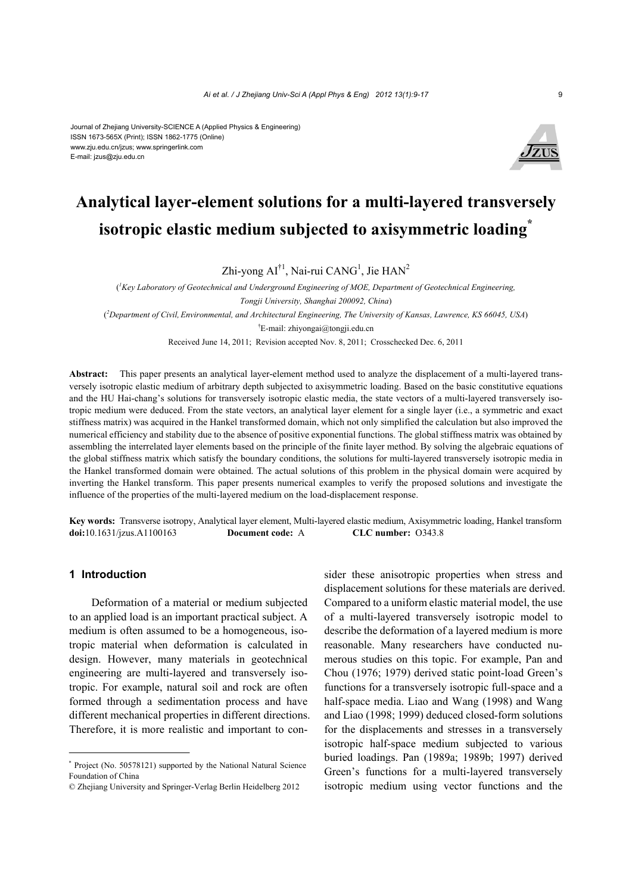#### Journal of Zhejiang University-SCIENCE A (Applied Physics & Engineering) ISSN 1673-565X (Print); ISSN 1862-1775 (Online) www.zju.edu.cn/jzus; www.springerlink.com E-mail: jzus@zju.edu.cn



# **Analytical layer-element solutions for a multi-layered transversely isotropic elastic medium subjected to axisymmetric loading\***

Zhi-yong  $AI^{\dagger 1}$ , Nai-rui CANG<sup>1</sup>, Jie HAN<sup>2</sup>

( *1 Key Laboratory of Geotechnical and Underground Engineering of MOE, Department of Geotechnical Engineering, Tongji University, Shanghai 200092, China*) ( *2 Department of Civil, Environmental, and Architectural Engineering, The University of Kansas, Lawrence, KS 66045, USA*) † E-mail: zhiyongai@tongji.edu.cn

Received June 14, 2011; Revision accepted Nov. 8, 2011; Crosschecked Dec. 6, 2011

**Abstract:** This paper presents an analytical layer-element method used to analyze the displacement of a multi-layered transversely isotropic elastic medium of arbitrary depth subjected to axisymmetric loading. Based on the basic constitutive equations and the HU Hai-chang's solutions for transversely isotropic elastic media, the state vectors of a multi-layered transversely isotropic medium were deduced. From the state vectors, an analytical layer element for a single layer (i.e., a symmetric and exact stiffness matrix) was acquired in the Hankel transformed domain, which not only simplified the calculation but also improved the numerical efficiency and stability due to the absence of positive exponential functions. The global stiffness matrix was obtained by assembling the interrelated layer elements based on the principle of the finite layer method. By solving the algebraic equations of the global stiffness matrix which satisfy the boundary conditions, the solutions for multi-layered transversely isotropic media in the Hankel transformed domain were obtained. The actual solutions of this problem in the physical domain were acquired by inverting the Hankel transform. This paper presents numerical examples to verify the proposed solutions and investigate the influence of the properties of the multi-layered medium on the load-displacement response.

**Key words:** Transverse isotropy, Analytical layer element, Multi-layered elastic medium, Axisymmetric loading, Hankel transform **doi:**10.1631/jzus.A1100163 **Document code:** A **CLC number:** O343.8

#### **1 Introduction**

Deformation of a material or medium subjected to an applied load is an important practical subject. A medium is often assumed to be a homogeneous, isotropic material when deformation is calculated in design. However, many materials in geotechnical engineering are multi-layered and transversely isotropic. For example, natural soil and rock are often formed through a sedimentation process and have different mechanical properties in different directions. Therefore, it is more realistic and important to consider these anisotropic properties when stress and displacement solutions for these materials are derived. Compared to a uniform elastic material model, the use of a multi-layered transversely isotropic model to describe the deformation of a layered medium is more reasonable. Many researchers have conducted numerous studies on this topic. For example, Pan and Chou (1976; 1979) derived static point-load Green's functions for a transversely isotropic full-space and a half-space media. Liao and Wang (1998) and Wang and Liao (1998; 1999) deduced closed-form solutions for the displacements and stresses in a transversely isotropic half-space medium subjected to various buried loadings. Pan (1989a; 1989b; 1997) derived Green's functions for a multi-layered transversely isotropic medium using vector functions and the

<sup>\*</sup> Project (No. 50578121) supported by the National Natural Science Foundation of China

<sup>©</sup> Zhejiang University and Springer-Verlag Berlin Heidelberg 2012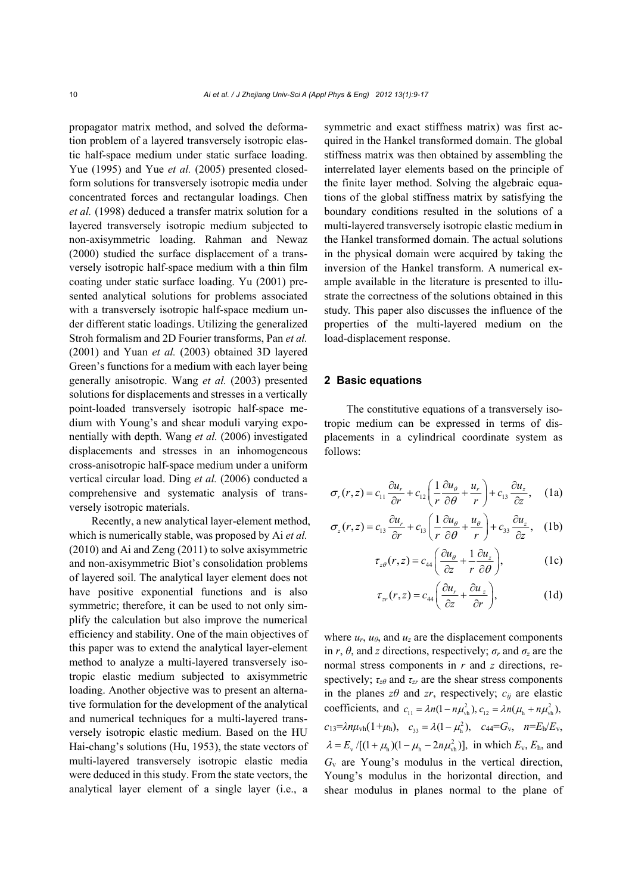propagator matrix method, and solved the deformation problem of a layered transversely isotropic elastic half-space medium under static surface loading. Yue (1995) and Yue *et al.* (2005) presented closedform solutions for transversely isotropic media under concentrated forces and rectangular loadings. Chen *et al.* (1998) deduced a transfer matrix solution for a layered transversely isotropic medium subjected to non-axisymmetric loading. Rahman and Newaz (2000) studied the surface displacement of a transversely isotropic half-space medium with a thin film coating under static surface loading. Yu (2001) presented analytical solutions for problems associated with a transversely isotropic half-space medium under different static loadings. Utilizing the generalized Stroh formalism and 2D Fourier transforms, Pan *et al.* (2001) and Yuan *et al.* (2003) obtained 3D layered Green's functions for a medium with each layer being generally anisotropic. Wang *et al.* (2003) presented solutions for displacements and stresses in a vertically point-loaded transversely isotropic half-space medium with Young's and shear moduli varying exponentially with depth. Wang *et al.* (2006) investigated displacements and stresses in an inhomogeneous cross-anisotropic half-space medium under a uniform vertical circular load. Ding *et al.* (2006) conducted a comprehensive and systematic analysis of transversely isotropic materials.

Recently, a new analytical layer-element method, which is numerically stable, was proposed by Ai *et al.* (2010) and Ai and Zeng (2011) to solve axisymmetric and non-axisymmetric Biot's consolidation problems of layered soil. The analytical layer element does not have positive exponential functions and is also symmetric; therefore, it can be used to not only simplify the calculation but also improve the numerical efficiency and stability. One of the main objectives of this paper was to extend the analytical layer-element method to analyze a multi-layered transversely isotropic elastic medium subjected to axisymmetric loading. Another objective was to present an alternative formulation for the development of the analytical and numerical techniques for a multi-layered transversely isotropic elastic medium. Based on the HU Hai-chang's solutions (Hu, 1953), the state vectors of multi-layered transversely isotropic elastic media were deduced in this study. From the state vectors, the analytical layer element of a single layer (i.e., a

symmetric and exact stiffness matrix) was first acquired in the Hankel transformed domain. The global stiffness matrix was then obtained by assembling the interrelated layer elements based on the principle of the finite layer method. Solving the algebraic equations of the global stiffness matrix by satisfying the boundary conditions resulted in the solutions of a multi-layered transversely isotropic elastic medium in the Hankel transformed domain. The actual solutions in the physical domain were acquired by taking the inversion of the Hankel transform. A numerical example available in the literature is presented to illustrate the correctness of the solutions obtained in this study. This paper also discusses the influence of the properties of the multi-layered medium on the load-displacement response.

#### **2 Basic equations**

The constitutive equations of a transversely isotropic medium can be expressed in terms of displacements in a cylindrical coordinate system as follows:

$$
\sigma_r(r,z) = c_{11} \frac{\partial u_r}{\partial r} + c_{12} \left( \frac{1}{r} \frac{\partial u_\theta}{\partial \theta} + \frac{u_r}{r} \right) + c_{13} \frac{\partial u_z}{\partial z}, \quad (1a)
$$

$$
\sigma_z(r,z) = c_{13} \frac{\partial u_r}{\partial r} + c_{13} \left( \frac{1}{r} \frac{\partial u_\theta}{\partial \theta} + \frac{u_\theta}{r} \right) + c_{33} \frac{\partial u_z}{\partial z}, \quad (1b)
$$

$$
\tau_{z\theta}(r,z) = c_{44} \left( \frac{\partial u_{\theta}}{\partial z} + \frac{1}{r} \frac{\partial u_z}{\partial \theta} \right), \tag{1c}
$$

$$
\tau_{zr}(r,z) = c_{44} \left( \frac{\partial u_r}{\partial z} + \frac{\partial u_z}{\partial r} \right),\tag{1d}
$$

where  $u_r$ ,  $u_\theta$ , and  $u_z$  are the displacement components in *r*,  $\theta$ , and *z* directions, respectively;  $\sigma_r$  and  $\sigma_z$  are the normal stress components in *r* and *z* directions, respectively;  $\tau_{z\theta}$  and  $\tau_{zr}$  are the shear stress components in the planes  $z\theta$  and  $z\theta$ , respectively;  $c_{ij}$  are elastic coefficients, and  $c_{11} = \lambda n (1 - n \mu_{\rm vh}^2), c_{12} = \lambda n (\mu_{\rm h} + n \mu_{\rm vh}^2)$ ,  $c_{13} = \lambda n \mu_{\text{vh}} (1 + \mu_{\text{h}}), \quad c_{33} = \lambda (1 - \mu_{\text{h}}^2), \quad c_{44} = G_v, \quad n = E_{\text{h}}/E_v,$  $\lambda = E_v / [(1 + \mu_h)(1 - \mu_h - 2n\mu_h^2)]$ , in which  $E_v$ ,  $E_h$ , and *G*v are Young's modulus in the vertical direction, Young's modulus in the horizontal direction, and shear modulus in planes normal to the plane of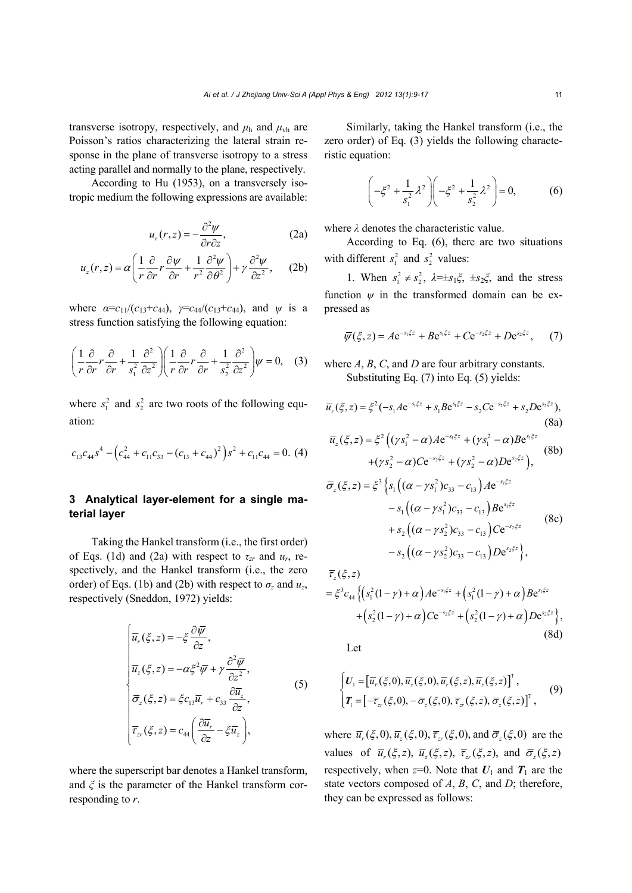transverse isotropy, respectively, and  $\mu$ <sub>h</sub> and  $\mu$ <sub>vh</sub> are Poisson's ratios characterizing the lateral strain response in the plane of transverse isotropy to a stress acting parallel and normally to the plane, respectively.

According to Hu (1953), on a transversely isotropic medium the following expressions are available:

$$
u_r(r,z) = -\frac{\partial^2 \psi}{\partial r \partial z},\tag{2a}
$$

$$
u_z(r,z) = \alpha \left( \frac{1}{r} \frac{\partial}{\partial r} r \frac{\partial \psi}{\partial r} + \frac{1}{r^2} \frac{\partial^2 \psi}{\partial \theta^2} \right) + \gamma \frac{\partial^2 \psi}{\partial z^2}, \quad (2b)
$$

where  $\alpha = c_{11}/(c_{13}+c_{44})$ ,  $\gamma = c_{44}/(c_{13}+c_{44})$ , and  $\psi$  is a stress function satisfying the following equation:

$$
\left(\frac{1}{r}\frac{\partial}{\partial r}r\frac{\partial}{\partial r}+\frac{1}{s_1^2}\frac{\partial^2}{\partial z^2}\right)\left(\frac{1}{r}\frac{\partial}{\partial r}r\frac{\partial}{\partial r}+\frac{1}{s_2^2}\frac{\partial^2}{\partial z^2}\right)\psi=0, \quad (3)
$$

where  $s_1^2$  and  $s_2^2$  are two roots of the following equation:

$$
c_{13}c_{44}s^4 - \left(c_{44}^2 + c_{11}c_{33} - (c_{13} + c_{44})^2\right)s^2 + c_{11}c_{44} = 0. \tag{4}
$$

## **3 Analytical layer-element for a single material layer**

Taking the Hankel transform (i.e., the first order) of Eqs. (1d) and (2a) with respect to  $\tau_{zr}$  and  $u_r$ , respectively, and the Hankel transform (i.e., the zero order) of Eqs. (1b) and (2b) with respect to  $\sigma_z$  and  $u_z$ , respectively (Sneddon, 1972) yields:

$$
\begin{cases}\n\overline{u}_r(\xi, z) = -\xi \frac{\partial \overline{\psi}}{\partial z}, \\
\overline{u}_z(\xi, z) = -\alpha \xi^2 \overline{\psi} + \gamma \frac{\partial^2 \overline{\psi}}{\partial z^2}, \\
\overline{\sigma}_z(\xi, z) = \xi c_{13} \overline{u}_r + c_{33} \frac{\partial \overline{u}_z}{\partial z}, \\
\overline{\tau}_{zr}(\xi, z) = c_{44} \left( \frac{\partial \overline{u}_r}{\partial z} - \xi \overline{u}_z \right),\n\end{cases}
$$
\n(5)

where the superscript bar denotes a Hankel transform, and *ξ* is the parameter of the Hankel transform corresponding to *r*.

Similarly, taking the Hankel transform (i.e., the zero order) of Eq. (3) yields the following characteristic equation:

$$
\left(-\xi^2 + \frac{1}{s_1^2}\lambda^2\right)\left(-\xi^2 + \frac{1}{s_2^2}\lambda^2\right) = 0,\tag{6}
$$

where *λ* denotes the characteristic value.

According to Eq. (6), there are two situations with different  $s_1^2$  and  $s_2^2$  values:

1. When  $s_1^2 \neq s_2^2$ ,  $\lambda = \pm s_1 \xi$ ,  $\pm s_2 \xi$ , and the stress function  $\psi$  in the transformed domain can be expressed as

$$
\overline{\psi}(\xi, z) = Ae^{-s_1\xi z} + Be^{s_1\xi z} + Ce^{-s_2\xi z} + De^{s_2\xi z}, \quad (7)
$$

where *A*, *B*, *C*, and *D* are four arbitrary constants. Substituting Eq. (7) into Eq. (5) yields:

$$
\overline{u}_{r}(\xi, z) = \xi^{2}(-s_{1}Ae^{-s_{1}\xi z} + s_{1}Be^{s_{1}\xi z} - s_{2}Ce^{-s_{2}\xi z} + s_{2}De^{s_{2}\xi z}),
$$
\n(8a)  
\n
$$
\overline{u}_{z}(\xi, z) = \xi^{2}((\gamma s_{1}^{2} - \alpha)Ae^{-s_{1}\xi z} + (\gamma s_{1}^{2} - \alpha)Be^{s_{1}\xi z} + (\gamma s_{2}^{2} - \alpha)De^{s_{2}\xi z}),
$$
\n(8b)  
\n
$$
+(\gamma s_{2}^{2} - \alpha)Ce^{-s_{2}\xi z} + (\gamma s_{2}^{2} - \alpha)De^{s_{2}\xi z}),
$$
\n(8b)  
\n
$$
\overline{\sigma}_{z}(\xi, z) = \xi^{3}\left\{s_{1}((\alpha - \gamma s_{1}^{2})c_{33} - c_{13})Ae^{-s_{1}\xi z} - s_{1}((\alpha - \gamma s_{1}^{2})c_{33} - c_{13})Be^{s_{1}\xi z} - s_{2}((\alpha - \gamma s_{2}^{2})c_{33} - c_{13})Ce^{-s_{2}\xi z}\right\},
$$
\n(8c)  
\n
$$
-s_{2}((\alpha - \gamma s_{2}^{2})c_{33} - c_{13})De^{s_{2}\xi z}\},
$$
\n(8c)  
\n
$$
\overline{\tau}_{z}(\xi, z)
$$
\n
$$
= \xi^{3}c_{44}\left\{(s_{1}^{2}(1 - \gamma) + \alpha)Ae^{-s_{1}\xi z} + (s_{1}^{2}(1 - \gamma) + \alpha)Be^{s_{1}\xi z} + (s_{2}^{2}(1 - \gamma) + \alpha)De^{s_{2}\xi z}\right\},
$$

Let

$$
\begin{cases} U_1 = \left[ \overline{u}_r(\xi,0), \overline{u}_z(\xi,0), \overline{u}_r(\xi,z), \overline{u}_z(\xi,z) \right]^T, \\ T_1 = \left[ -\overline{\tau}_r(\xi,0), -\overline{\sigma}_z(\xi,0), \overline{\tau}_r(\xi,z), \overline{\sigma}_z(\xi,z) \right]^T, \end{cases} \tag{9}
$$

where  $\overline{u}_r(\xi,0), \overline{u}_r(\xi,0), \overline{\tau}_{rr}(\xi,0)$ , and  $\overline{\sigma}_r(\xi,0)$  are the values of  $\overline{u}_r(\xi, z)$ ,  $\overline{u}_z(\xi, z)$ ,  $\overline{\tau}_{zr}(\xi, z)$ , and  $\overline{\sigma}_z(\xi, z)$ respectively, when  $z=0$ . Note that  $U_1$  and  $T_1$  are the state vectors composed of *A*, *B*, *C*, and *D*; therefore, they can be expressed as follows:

(8d)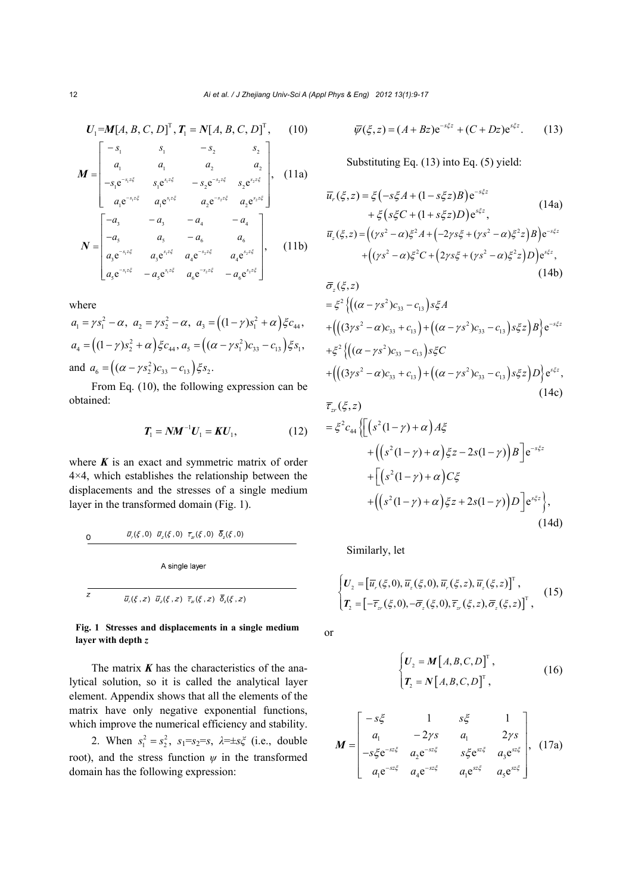$$
U_1 = M[A, B, C, D]^T, T_1 = N[A, B, C, D]^T, (10)
$$

$$
M = \begin{bmatrix} -s_1 & s_1 & -s_2 & s_2 \\ a_1 & a_1 & a_2 & a_2 \\ -s_1 e^{-s_1 z \xi} & s_1 e^{s_1 z \xi} & -s_2 e^{-s_2 z \xi} & s_2 e^{s_2 z \xi} \\ a_1 e^{-s_1 z \xi} & a_1 e^{s_1 z \xi} & a_2 e^{-s_2 z \xi} & a_2 e^{s_2 z \xi} \end{bmatrix}, (11a)
$$

$$
N = \begin{bmatrix} -a_3 & -a_3 & -a_4 & -a_4 \\ -a_5 & a_5 & -a_6 & a_6 \\ a_3 e^{-s_1 z \xi} & a_3 e^{s_1 z \xi} & a_4 e^{-s_2 z \xi} & a_4 e^{s_2 z \xi} \\ a_5 e^{-s_1 z \xi} & -a_5 e^{s_1 z \xi} & a_6 e^{-s_2 z \xi} & -a_6 e^{s_2 z \xi} \end{bmatrix}, (11b)
$$

where

$$
a_1 = \gamma s_1^2 - \alpha, \ \ a_2 = \gamma s_2^2 - \alpha, \ \ a_3 = \left( (1 - \gamma) s_1^2 + \alpha \right) \xi c_{44},
$$
\n
$$
a_4 = \left( (1 - \gamma) s_2^2 + \alpha \right) \xi c_{44}, \ a_5 = \left( (\alpha - \gamma s_1^2) c_{33} - c_{13} \right) \xi s_1,
$$
\nand 
$$
a_6 = \left( (\alpha - \gamma s_2^2) c_{33} - c_{13} \right) \xi s_2.
$$

From Eq. (10), the following expression can be obtained:

$$
T_1 = NM^{-1}U_1 = KU_1, \t(12)
$$

where  $K$  is an exact and symmetric matrix of order 4×4, which establishes the relationship between the displacements and the stresses of a single medium layer in the transformed domain (Fig. 1).

$$
0 \qquad \qquad \bar{u}_{r}(\xi,0) \ \bar{u}_{z}(\xi,0) \ \bar{\tau}_{x}(\xi,0) \ \bar{\delta}_{z}(\xi,0)
$$

A single layer

$$
Z \qquad \qquad \bar{u}_{r}(\xi, z) \ \bar{u}_{z}(\xi, z) \ \bar{\tau}_{x}(\xi, z) \ \bar{\delta}_{z}(\xi, z)
$$

### **Fig. 1 Stresses and displacements in a single medium layer with depth** *z*

The matrix  $\boldsymbol{K}$  has the characteristics of the analytical solution, so it is called the analytical layer element. Appendix shows that all the elements of the matrix have only negative exponential functions, which improve the numerical efficiency and stability.

2. When  $s_1^2 = s_2^2$ ,  $s_1 = s_2 = s$ ,  $\lambda = \pm s \xi$  (i.e., double root), and the stress function  $\psi$  in the transformed domain has the following expression:

$$
\overline{\psi}(\xi, z) = (A + Bz)e^{-s\xi z} + (C + Dz)e^{s\xi z}.
$$
 (13)

Substituting Eq. (13) into Eq. (5) yield:

$$
\overline{u}_r(\xi, z) = \xi \left( -s\xi A + (1 - s\xi z)B \right) e^{-s\xi z} \n+ \xi \left( s\xi C + (1 + s\xi z)D \right) e^{s\xi z},
$$
\n(14a)  
\n
$$
\overline{u}_r(\xi, z) = \left( (s\xi^2 - \alpha)\xi^2 A + (-2s\xi\xi + (ss^2 - \alpha)\xi^2 z)B \right) e^{-s\xi z}
$$

$$
\overline{u}_z(\xi, z) = ((\gamma s^2 - \alpha) \xi^2 A + (-2\gamma s \xi + (\gamma s^2 - \alpha) \xi^2 z) B) e^{-s \xi z} \n+ ((\gamma s^2 - \alpha) \xi^2 C + (2\gamma s \xi + (\gamma s^2 - \alpha) \xi^2 z) D) e^{s \xi z},
$$
\n(14b)

$$
\overline{\sigma}_{z}(\xi, z) = \xi^{2} \left\{ \left( (\alpha - \gamma s^{2}) c_{33} - c_{13} \right) s \xi A \right\} \n+ \left( \left( (3 \gamma s^{2} - \alpha) c_{33} + c_{13} \right) + \left( (\alpha - \gamma s^{2}) c_{33} - c_{13} \right) s \xi z \right) B \right\} e^{-s \xi z} \n+ \xi^{2} \left\{ \left( (\alpha - \gamma s^{2}) c_{33} - c_{13} \right) s \xi C \right. \n+ \left( \left( (3 \gamma s^{2} - \alpha) c_{33} + c_{13} \right) + \left( (\alpha - \gamma s^{2}) c_{33} - c_{13} \right) s \xi z \right) D \right\} e^{s \xi z}, \n\overline{\tau}_{z r}(\xi, z)
$$
\n(14c)

$$
\begin{split} \varepsilon_{zr}(\xi, z) &= \xi^2 c_{44} \left\{ \left[ \left( s^2 (1 - \gamma) + \alpha \right) A \xi \right. \\ &+ \left( \left( s^2 (1 - \gamma) + \alpha \right) \xi z - 2s (1 - \gamma) \right) B \right] e^{-s \xi z} \\ &+ \left[ \left( s^2 (1 - \gamma) + \alpha \right) C \xi \right. \\ &\left. + \left( \left( s^2 (1 - \gamma) + \alpha \right) \xi z + 2s (1 - \gamma) \right) D \right] e^{s \xi z} \right\}, \end{split} \tag{14d}
$$

Similarly, let

$$
\begin{cases}\nU_2 = [\overline{u}_r(\xi, 0), \overline{u}_z(\xi, 0), \overline{u}_r(\xi, z), \overline{u}_z(\xi, z)]^T, \\
T_2 = [-\overline{\tau}_{rr}(\xi, 0), -\overline{\sigma}_z(\xi, 0), \overline{\tau}_{rr}(\xi, z), \overline{\sigma}_z(\xi, z)]^T,\n\end{cases} (15)
$$

or

$$
\begin{cases} \boldsymbol{U}_2 = \boldsymbol{M} \begin{bmatrix} A, B, C, D \end{bmatrix}^\mathrm{T}, \\ \boldsymbol{T}_2 = \boldsymbol{N} \begin{bmatrix} A, B, C, D \end{bmatrix}^\mathrm{T}, \end{cases} \tag{16}
$$

$$
M = \begin{bmatrix} -s\xi & 1 & s\xi & 1 \\ a_1 & -2\gamma s & a_1 & 2\gamma s \\ -s\xi e^{-sz\xi} & a_2 e^{-sz\xi} & s\xi e^{sz\xi} & a_3 e^{sz\xi} \\ a_1 e^{-sz\xi} & a_4 e^{-sz\xi} & a_1 e^{sz\xi} & a_5 e^{sz\xi} \end{bmatrix}, (17a)
$$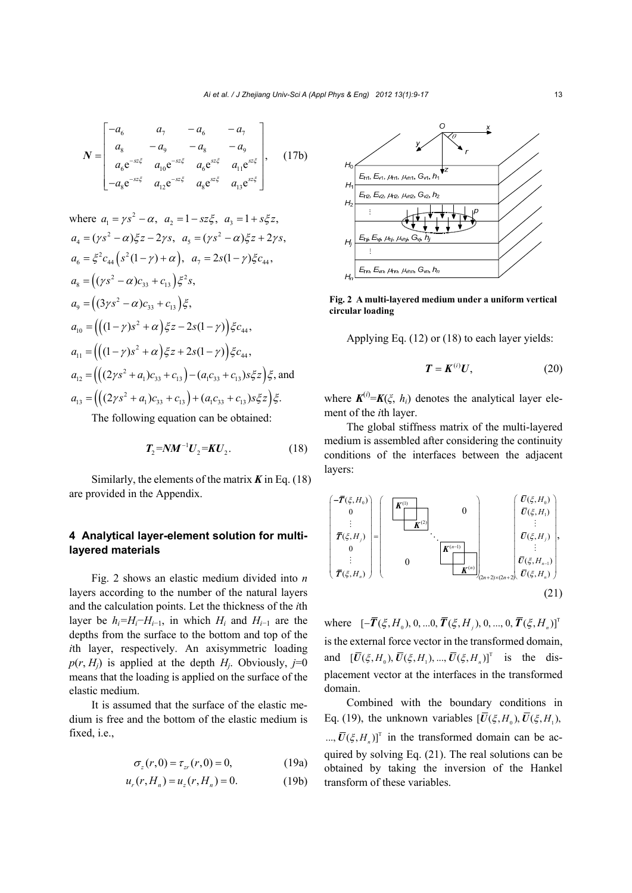$$
N = \begin{bmatrix} -a_6 & a_7 & -a_6 & -a_7 \ a_8 & -a_9 & -a_8 & -a_9 \ a_6 e^{-sz\xi} & a_{10} e^{-sz\xi} & a_6 e^{sz\xi} & a_{11} e^{sz\xi} \ -a_8 e^{-sz\xi} & a_{12} e^{-sz\xi} & a_8 e^{sz\xi} & a_{13} e^{sz\xi} \end{bmatrix}, (17b)
$$

where 
$$
a_1 = \gamma s^2 - \alpha
$$
,  $a_2 = 1 - sz\xi$ ,  $a_3 = 1 + s\xi z$ ,  
\n $a_4 = (\gamma s^2 - \alpha)\xi z - 2\gamma s$ ,  $a_5 = (\gamma s^2 - \alpha)\xi z + 2\gamma s$ ,  
\n $a_6 = \xi^2 c_{44} (s^2(1-\gamma) + \alpha)$ ,  $a_7 = 2s(1-\gamma)\xi c_{44}$ ,  
\n $a_8 = ((\gamma s^2 - \alpha)c_{33} + c_{13})\xi^2 s$ ,  
\n $a_9 = ((3\gamma s^2 - \alpha)c_{33} + c_{13})\xi$ ,  
\n $a_{10} = (((1-\gamma)s^2 + \alpha)\xi z - 2s(1-\gamma))\xi c_{44}$ ,  
\n $a_{11} = (((1-\gamma)s^2 + \alpha)\xi z + 2s(1-\gamma))\xi c_{44}$ ,  
\n $a_{12} = (((2\gamma s^2 + a_1)c_{33} + c_{13}) - (a_1c_{33} + c_{13})s\xi z)\xi$ , and  
\n $a_{13} = (((2\gamma s^2 + a_1)c_{33} + c_{13}) + (a_1c_{33} + c_{13})s\xi z)\xi$ .

The following equation can be obtained:

$$
T_2 = NM^{-1}U_2 = KU_2. \tag{18}
$$

Similarly, the elements of the matrix  $\boldsymbol{K}$  in Eq. (18) are provided in the Appendix.

## **4 Analytical layer-element solution for multilayered materials**

Fig. 2 shows an elastic medium divided into *n* layers according to the number of the natural layers and the calculation points. Let the thickness of the *i*th layer be  $h_i=H_i-H_{i-1}$ , in which  $H_i$  and  $H_{i-1}$  are the depths from the surface to the bottom and top of the *i*th layer, respectively. An axisymmetric loading  $p(r, H_j)$  is applied at the depth  $H_i$ . Obviously,  $j=0$ means that the loading is applied on the surface of the elastic medium.

It is assumed that the surface of the elastic medium is free and the bottom of the elastic medium is fixed, i.e.,

$$
\sigma_z(r,0) = \tau_{zr}(r,0) = 0, \qquad (19a)
$$

$$
u_r(r, H_n) = u_z(r, H_n) = 0.
$$
 (19b)



**Fig. 2 A multi-layered medium under a uniform vertical circular loading**

Applying Eq. (12) or (18) to each layer yields:

$$
T = K^{(i)}U,\t(20)
$$

where  $K^{(i)} = K(\xi, h_i)$  denotes the analytical layer element of the *i*th layer.

The global stiffness matrix of the multi-layered medium is assembled after considering the continuity conditions of the interfaces between the adjacent layers:



where  $[-\bar{T}(\xi, H_0), 0, ...0, \bar{T}(\xi, H_j), 0, ..., 0, \bar{T}(\xi, H_n)]^T$ is the external force vector in the transformed domain, and  $[\bar{U}(\xi, H_0), \bar{U}(\xi, H_1), ..., \bar{U}(\xi, H_n)]^T$  is the displacement vector at the interfaces in the transformed domain.

Combined with the boundary conditions in Eq. (19), the unknown variables  $[\overline{U}(\xi, H_0), \overline{U}(\xi, H_1)]$ ,  $\overline{U}(\xi, H_{n})$ <sup>T</sup> in the transformed domain can be acquired by solving Eq. (21). The real solutions can be obtained by taking the inversion of the Hankel transform of these variables.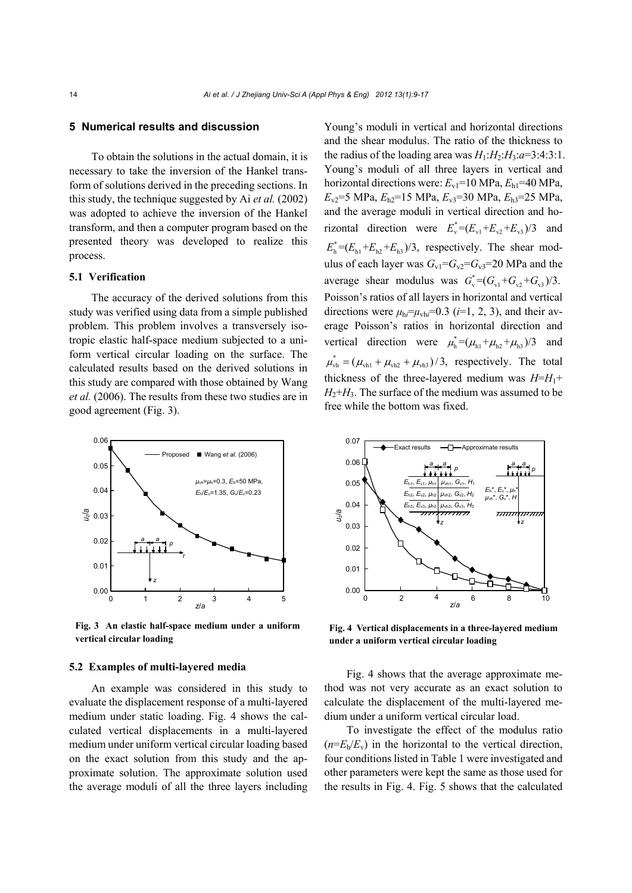#### **5 Numerical results and discussion**

To obtain the solutions in the actual domain, it is necessary to take the inversion of the Hankel transform of solutions derived in the preceding sections. In this study, the technique suggested by Ai *et al.* (2002) was adopted to achieve the inversion of the Hankel transform, and then a computer program based on the presented theory was developed to realize this process.

#### **5.1 Verification**

The accuracy of the derived solutions from this study was verified using data from a simple published problem. This problem involves a transversely isotropic elastic half-space medium subjected to a uniform vertical circular loading on the surface. The calculated results based on the derived solutions in this study are compared with those obtained by Wang *et al.* (2006). The results from these two studies are in good agreement (Fig. 3).



**Fig. 3 An elastic half-space medium under a uniform vertical circular loading**

#### **5.2 Examples of multi-layered media**

An example was considered in this study to evaluate the displacement response of a multi-layered medium under static loading. Fig. 4 shows the calculated vertical displacements in a multi-layered medium under uniform vertical circular loading based on the exact solution from this study and the approximate solution. The approximate solution used the average moduli of all the three layers including Young's moduli in vertical and horizontal directions and the shear modulus. The ratio of the thickness to the radius of the loading area was  $H_1:H_2:H_3: a=3:4:3:1$ . Young's moduli of all three layers in vertical and horizontal directions were:  $E_{\rm v1}$ =10 MPa,  $E_{\rm h1}$ =40 MPa, *E*v2=5 MPa, *E*h2=15 MPa, *E*v3=30 MPa, *E*h3=25 MPa, and the average moduli in vertical direction and horizontal direction were  $E_v^*=(E_{v1}+E_{v2}+E_{v3})/3$  and  $E_h^* = (E_{h1} + E_{h2} + E_{h3})/3$ , respectively. The shear modulus of each layer was  $G_v = G_v = G_v = 20 \text{ MPa}$  and the average shear modulus was  $G_v^* = (G_{v1} + G_{v2} + G_{v3})/3$ . Poisson's ratios of all layers in horizontal and vertical directions were  $\mu_{\text{h}i} = \mu_{\text{v}h} = 0.3$  (*i*=1, 2, 3), and their average Poisson's ratios in horizontal direction and vertical direction were  $\mu_h^* = (\mu_{h1} + \mu_{h2} + \mu_{h3})/3$  and  $\mu_{\text{vh}}^* = (\mu_{\text{vh1}} + \mu_{\text{vh2}} + \mu_{\text{vh3}})/3$ , respectively. The total thickness of the three-layered medium was *H*=*H*1+  $H_2 + H_3$ . The surface of the medium was assumed to be free while the bottom was fixed.



**Fig. 4 Vertical displacements in a three***-***layered medium under a uniform vertical circular loading**

Fig. 4 shows that the average approximate method was not very accurate as an exact solution to calculate the displacement of the multi-layered medium under a uniform vertical circular load.

To investigate the effect of the modulus ratio  $(n=E_h/E_v)$  in the horizontal to the vertical direction, four conditions listed in Table 1 were investigated and other parameters were kept the same as those used for the results in Fig. 4. Fig. 5 shows that the calculated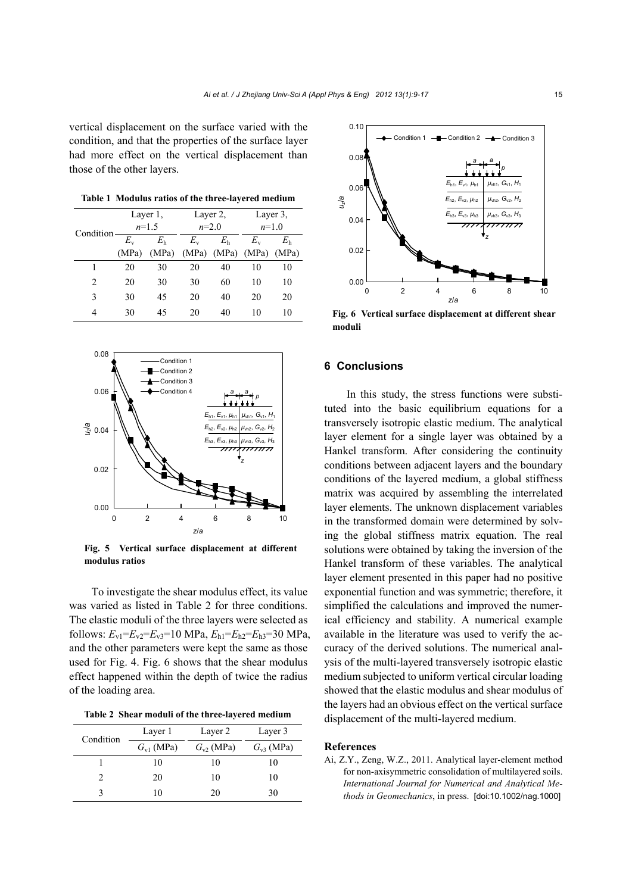vertical displacement on the surface varied with the condition, and that the properties of the surface layer had more effect on the vertical displacement than those of the other layers.

**Table 1 Modulus ratios of the three-layered medium**

|                | Layer 1,    |                | Layer 2, |                | Layer 3,                |             |
|----------------|-------------|----------------|----------|----------------|-------------------------|-------------|
| Condition      | $n=1.5$     |                | $n=2.0$  |                | $n=1.0$                 |             |
|                | $E_{\rm v}$ | E <sub>h</sub> | $E_{v}$  | E <sub>h</sub> | $E_{\rm v}$             | $E_{\rm h}$ |
|                | (MPa)       | (MPa)          |          |                | (MPa) (MPa) (MPa) (MPa) |             |
| 1              | 20          | 30             | 20       | 40             | 10                      | 10          |
| $\overline{c}$ | 20          | 30             | 30       | 60             | 10                      | 10          |
| 3              | 30          | 45             | 20       | 40             | 20                      | 20          |
| 4              | 30          | 45             | 20       | 40             | 10                      | 10          |



**Fig. 5 Vertical surface displacement at different modulus ratios**

To investigate the shear modulus effect, its value was varied as listed in Table 2 for three conditions. The elastic moduli of the three layers were selected as follows:  $E_{v1} = E_{v2} = E_{v3} = 10 \text{ MPa}, E_{h1} = E_{h2} = E_{h3} = 30 \text{ MPa},$ and the other parameters were kept the same as those used for Fig. 4. Fig. 6 shows that the shear modulus effect happened within the depth of twice the radius of the loading area.

**Table 2 Shear moduli of the three-layered medium**

| Condition | Layer 1        | Layer 2     | Layer 3        |  |
|-----------|----------------|-------------|----------------|--|
|           | $G_{v1}$ (MPa) | $G_v$ (MPa) | $G_{v3}$ (MPa) |  |
|           | 10             | 10          | 10             |  |
|           | 20             | 10          | 10             |  |
|           | 10             | 20          | 30             |  |



**Fig. 6 Vertical surface displacement at different shear moduli**

## **6 Conclusions**

In this study, the stress functions were substituted into the basic equilibrium equations for a transversely isotropic elastic medium. The analytical layer element for a single layer was obtained by a Hankel transform. After considering the continuity conditions between adjacent layers and the boundary conditions of the layered medium, a global stiffness matrix was acquired by assembling the interrelated layer elements. The unknown displacement variables in the transformed domain were determined by solving the global stiffness matrix equation. The real solutions were obtained by taking the inversion of the Hankel transform of these variables. The analytical layer element presented in this paper had no positive exponential function and was symmetric; therefore, it simplified the calculations and improved the numerical efficiency and stability. A numerical example available in the literature was used to verify the accuracy of the derived solutions. The numerical analysis of the multi-layered transversely isotropic elastic medium subjected to uniform vertical circular loading showed that the elastic modulus and shear modulus of the layers had an obvious effect on the vertical surface displacement of the multi-layered medium.

### **References**

Ai, Z.Y., Zeng, W.Z., 2011. Analytical layer-element method for non-axisymmetric consolidation of multilayered soils. *International Journal for Numerical and Analytical Methods in Geomechanics*, in press. [doi:10.1002/nag.1000]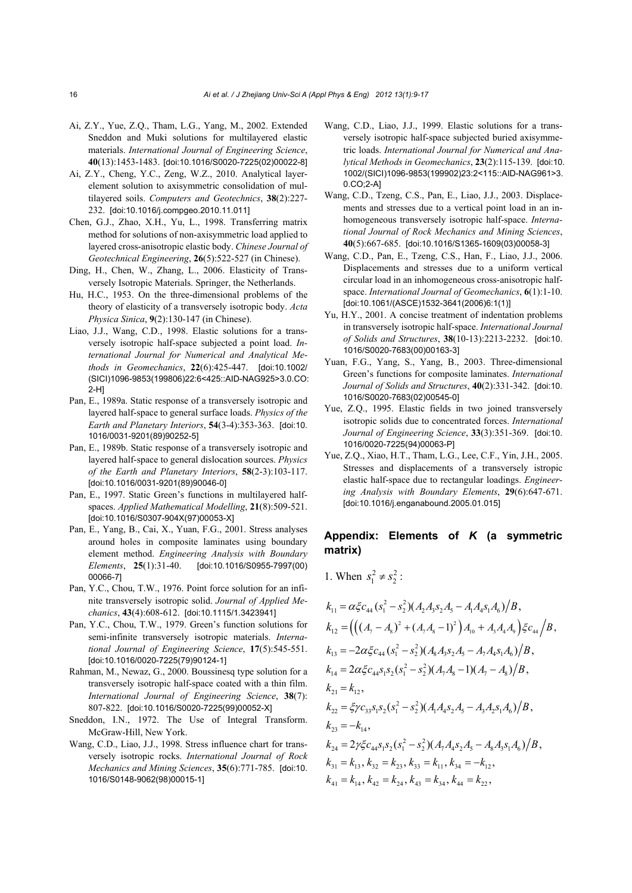- Ai, Z.Y., Yue, Z.Q., Tham, L.G., Yang, M., 2002. Extended Sneddon and Muki solutions for multilayered elastic materials. *International Journal of Engineering Science*, **40**(13):1453-1483. [doi:10.1016/S0020-7225(02)00022-8]
- Ai, Z.Y., Cheng, Y.C., Zeng, W.Z., 2010. Analytical layerelement solution to axisymmetric consolidation of multilayered soils. *Computers and Geotechnics*, **38**(2):227- 232. [doi:10.1016/j.compgeo.2010.11.011]
- Chen, G.J., Zhao, X.H., Yu, L., 1998. Transferring matrix method for solutions of non-axisymmetric load applied to layered cross-anisotropic elastic body. *Chinese Journal of Geotechnical Engineering*, **26**(5):522-527 (in Chinese).
- Ding, H., Chen, W., Zhang, L., 2006. Elasticity of Transversely Isotropic Materials. Springer, the Netherlands.
- Hu, H.C., 1953. On the three-dimensional problems of the theory of elasticity of a transversely isotropic body. *Acta Physica Sinica*, **9**(2):130-147 (in Chinese).
- Liao, J.J., Wang, C.D., 1998. Elastic solutions for a transversely isotropic half-space subjected a point load. *International Journal for Numerical and Analytical Methods in Geomechanics*, **22**(6):425-447. [doi:10.1002/ (SICI)1096-9853(199806)22:6<425::AID-NAG925>3.0.CO: 2-H]
- Pan, E., 1989a. Static response of a transversely isotropic and layered half-space to general surface loads. *Physics of the Earth and Planetary Interiors*, **54**(3-4):353-363. [doi:10. 1016/0031-9201(89)90252-5]
- Pan, E., 1989b. Static response of a transversely isotropic and layered half-space to general dislocation sources. *Physics of the Earth and Planetary Interiors*, **58**(2-3):103-117. [doi:10.1016/0031-9201(89)90046-0]
- Pan, E., 1997. Static Green's functions in multilayered halfspaces. *Applied Mathematical Modelling*, **21**(8):509-521. [doi:10.1016/S0307-904X(97)00053-X]
- Pan, E., Yang, B., Cai, X., Yuan, F.G., 2001. Stress analyses around holes in composite laminates using boundary element method. *Engineering Analysis with Boundary Elements*, **25**(1):31-40. [doi:10.1016/S0955-7997(00) 00066-7]
- Pan, Y.C., Chou, T.W., 1976. Point force solution for an infinite transversely isotropic solid. *Journal of Applied Mechanics*, **43**(4):608-612. [doi:10.1115/1.3423941]
- Pan, Y.C., Chou, T.W., 1979. Green's function solutions for semi-infinite transversely isotropic materials. *International Journal of Engineering Science*, **17**(5):545-551. [doi:10.1016/0020-7225(79)90124-1]
- Rahman, M., Newaz, G., 2000. Boussinesq type solution for a transversely isotropic half-space coated with a thin film. *International Journal of Engineering Science*, **38**(7): 807-822. [doi:10.1016/S0020-7225(99)00052-X]
- Sneddon, I.N., 1972. The Use of Integral Transform. McGraw-Hill, New York.
- Wang, C.D., Liao, J.J., 1998. Stress influence chart for transversely isotropic rocks. *International Journal of Rock Mechanics and Mining Sciences*, **35**(6):771-785. [doi:10. 1016/S0148-9062(98)00015-1]
- Wang, C.D., Liao, J.J., 1999. Elastic solutions for a transversely isotropic half-space subjected buried axisymmetric loads. *International Journal for Numerical and Analytical Methods in Geomechanics*, **23**(2):115-139. [doi:10. 1002/(SICI)1096-9853(199902)23:2<115::AID-NAG961>3.  $0$  $CO:2-A$ ]
- Wang, C.D., Tzeng, C.S., Pan, E., Liao, J.J., 2003. Displacements and stresses due to a vertical point load in an inhomogeneous transversely isotropic half-space. *International Journal of Rock Mechanics and Mining Sciences*, **40**(5):667-685. [doi:10.1016/S1365-1609(03)00058-3]
- Wang, C.D., Pan, E., Tzeng, C.S., Han, F., Liao, J.J., 2006. Displacements and stresses due to a uniform vertical circular load in an inhomogeneous cross-anisotropic halfspace. *International Journal of Geomechanics*, **6**(1):1-10. [doi:10.1061/(ASCE)1532-3641(2006)6:1(1)]
- Yu, H.Y., 2001. A concise treatment of indentation problems in transversely isotropic half-space. *International Journal of Solids and Structures*, **38**(10-13):2213-2232. [doi:10. 1016/S0020-7683(00)00163-3]
- Yuan, F.G., Yang, S., Yang, B., 2003. Three-dimensional Green's functions for composite laminates. *International Journal of Solids and Structures*, **40**(2):331-342. [doi:10. 1016/S0020-7683(02)00545-0]
- Yue, Z.Q., 1995. Elastic fields in two joined transversely isotropic solids due to concentrated forces. *International Journal of Engineering Science*, **33**(3):351-369. [doi:10. 1016/0020-7225(94)00063-P]
- Yue, Z.Q., Xiao, H.T., Tham, L.G., Lee, C.F., Yin, J.H., 2005. Stresses and displacements of a transversely istropic elastic half-space due to rectangular loadings. *Engineering Analysis with Boundary Elements*, **29**(6):647-671. [doi:10.1016/j.enganabound.2005.01.015]

## **Appendix: Elements of** *K* **(a symmetric matrix)**

1. When  $s_1^2 \neq s_2^2$ :

$$
k_{11} = \alpha \xi c_{44} (s_1^2 - s_2^2) (A_2 A_3 s_2 A_5 - A_1 A_4 s_1 A_6) / B,
$$
  
\n
$$
k_{12} = (((A_7 - A_8)^2 + (A_7 A_8 - 1)^2) A_{10} + A_3 A_4 A_9) \xi c_{44} / B,
$$
  
\n
$$
k_{13} = -2\alpha \xi c_{44} (s_1^2 - s_2^2) (A_8 A_3 s_2 A_5 - A_7 A_4 s_1 A_6) / B,
$$
  
\n
$$
k_{14} = 2\alpha \xi c_{44} s_1 s_2 (s_1^2 - s_2^2) (A_7 A_8 - 1) (A_7 - A_8) / B,
$$
  
\n
$$
k_{21} = k_{12},
$$
  
\n
$$
k_{22} = \xi \gamma c_{33} s_1 s_2 (s_1^2 - s_2^2) (A_1 A_4 s_2 A_5 - A_3 A_2 s_1 A_6) / B,
$$
  
\n
$$
k_{23} = -k_{14},
$$
  
\n
$$
k_{24} = 2\gamma \xi c_{44} s_1 s_2 (s_1^2 - s_2^2) (A_7 A_4 s_2 A_5 - A_8 A_3 s_1 A_6) / B,
$$
  
\n
$$
k_{31} = k_{13}, k_{32} = k_{23}, k_{33} = k_{11}, k_{34} = -k_{12},
$$
  
\n
$$
k_{41} = k_{14}, k_{42} = k_{24}, k_{43} = k_{34}, k_{44} = k_{22},
$$